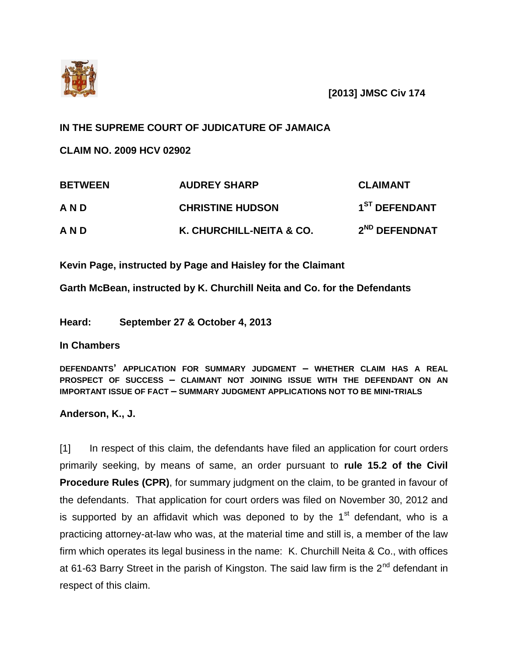

**[2013] JMSC Civ 174**

## **IN THE SUPREME COURT OF JUDICATURE OF JAMAICA**

**CLAIM NO. 2009 HCV 02902** 

| <b>BETWEEN</b> | <b>AUDREY SHARP</b>      | <b>CLAIMANT</b>           |
|----------------|--------------------------|---------------------------|
| <b>AND</b>     | <b>CHRISTINE HUDSON</b>  | 1 <sup>ST</sup> DEFENDANT |
| <b>AND</b>     | K. CHURCHILL-NEITA & CO. | 2 <sup>ND</sup> DEFENDNAT |

**Kevin Page, instructed by Page and Haisley for the Claimant**

**Garth McBean, instructed by K. Churchill Neita and Co. for the Defendants**

**Heard: September 27 & October 4, 2013**

**In Chambers**

**DEFENDANTS' APPLICATION FOR SUMMARY JUDGMENT – WHETHER CLAIM HAS A REAL PROSPECT OF SUCCESS – CLAIMANT NOT JOINING ISSUE WITH THE DEFENDANT ON AN IMPORTANT ISSUE OF FACT – SUMMARY JUDGMENT APPLICATIONS NOT TO BE MINI-TRIALS**

**Anderson, K., J.**

[1] In respect of this claim, the defendants have filed an application for court orders primarily seeking, by means of same, an order pursuant to **rule 15.2 of the Civil Procedure Rules (CPR)**, for summary judgment on the claim, to be granted in favour of the defendants. That application for court orders was filed on November 30, 2012 and is supported by an affidavit which was deponed to by the  $1<sup>st</sup>$  defendant, who is a practicing attorney-at-law who was, at the material time and still is, a member of the law firm which operates its legal business in the name: K. Churchill Neita & Co., with offices at 61-63 Barry Street in the parish of Kingston. The said law firm is the  $2^{nd}$  defendant in respect of this claim.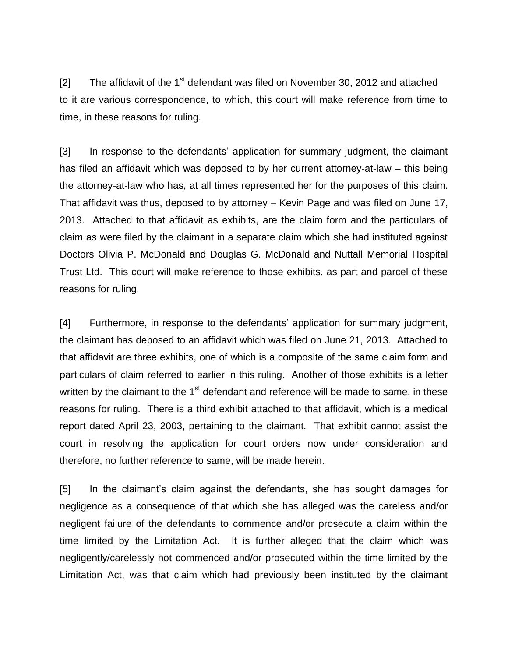[2] The affidavit of the  $1<sup>st</sup>$  defendant was filed on November 30, 2012 and attached to it are various correspondence, to which, this court will make reference from time to time, in these reasons for ruling.

[3] In response to the defendants' application for summary judgment, the claimant has filed an affidavit which was deposed to by her current attorney-at-law – this being the attorney-at-law who has, at all times represented her for the purposes of this claim. That affidavit was thus, deposed to by attorney – Kevin Page and was filed on June 17, 2013. Attached to that affidavit as exhibits, are the claim form and the particulars of claim as were filed by the claimant in a separate claim which she had instituted against Doctors Olivia P. McDonald and Douglas G. McDonald and Nuttall Memorial Hospital Trust Ltd. This court will make reference to those exhibits, as part and parcel of these reasons for ruling.

[4] Furthermore, in response to the defendants' application for summary judgment, the claimant has deposed to an affidavit which was filed on June 21, 2013. Attached to that affidavit are three exhibits, one of which is a composite of the same claim form and particulars of claim referred to earlier in this ruling. Another of those exhibits is a letter written by the claimant to the  $1<sup>st</sup>$  defendant and reference will be made to same, in these reasons for ruling. There is a third exhibit attached to that affidavit, which is a medical report dated April 23, 2003, pertaining to the claimant. That exhibit cannot assist the court in resolving the application for court orders now under consideration and therefore, no further reference to same, will be made herein.

[5] In the claimant's claim against the defendants, she has sought damages for negligence as a consequence of that which she has alleged was the careless and/or negligent failure of the defendants to commence and/or prosecute a claim within the time limited by the Limitation Act. It is further alleged that the claim which was negligently/carelessly not commenced and/or prosecuted within the time limited by the Limitation Act, was that claim which had previously been instituted by the claimant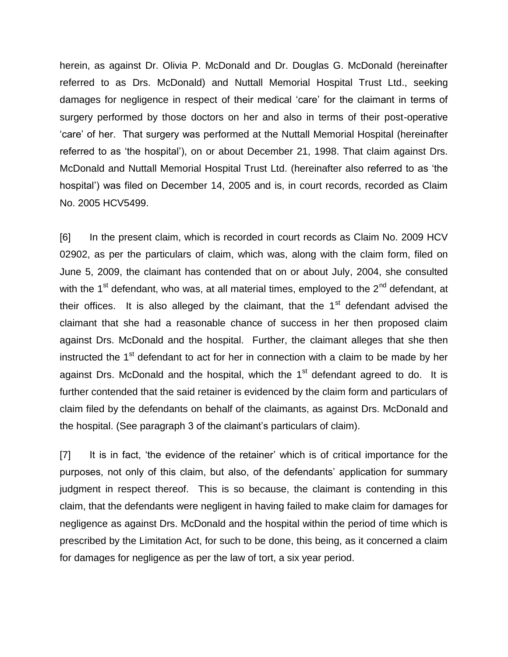herein, as against Dr. Olivia P. McDonald and Dr. Douglas G. McDonald (hereinafter referred to as Drs. McDonald) and Nuttall Memorial Hospital Trust Ltd., seeking damages for negligence in respect of their medical 'care' for the claimant in terms of surgery performed by those doctors on her and also in terms of their post-operative 'care' of her. That surgery was performed at the Nuttall Memorial Hospital (hereinafter referred to as 'the hospital'), on or about December 21, 1998. That claim against Drs. McDonald and Nuttall Memorial Hospital Trust Ltd. (hereinafter also referred to as 'the hospital') was filed on December 14, 2005 and is, in court records, recorded as Claim No. 2005 HCV5499.

[6] In the present claim, which is recorded in court records as Claim No. 2009 HCV 02902, as per the particulars of claim, which was, along with the claim form, filed on June 5, 2009, the claimant has contended that on or about July, 2004, she consulted with the  $1<sup>st</sup>$  defendant, who was, at all material times, employed to the  $2<sup>nd</sup>$  defendant, at their offices. It is also alleged by the claimant, that the  $1<sup>st</sup>$  defendant advised the claimant that she had a reasonable chance of success in her then proposed claim against Drs. McDonald and the hospital. Further, the claimant alleges that she then instructed the 1<sup>st</sup> defendant to act for her in connection with a claim to be made by her against Drs. McDonald and the hospital, which the  $1<sup>st</sup>$  defendant agreed to do. It is further contended that the said retainer is evidenced by the claim form and particulars of claim filed by the defendants on behalf of the claimants, as against Drs. McDonald and the hospital. (See paragraph 3 of the claimant's particulars of claim).

[7] It is in fact, 'the evidence of the retainer' which is of critical importance for the purposes, not only of this claim, but also, of the defendants' application for summary judgment in respect thereof. This is so because, the claimant is contending in this claim, that the defendants were negligent in having failed to make claim for damages for negligence as against Drs. McDonald and the hospital within the period of time which is prescribed by the Limitation Act, for such to be done, this being, as it concerned a claim for damages for negligence as per the law of tort, a six year period.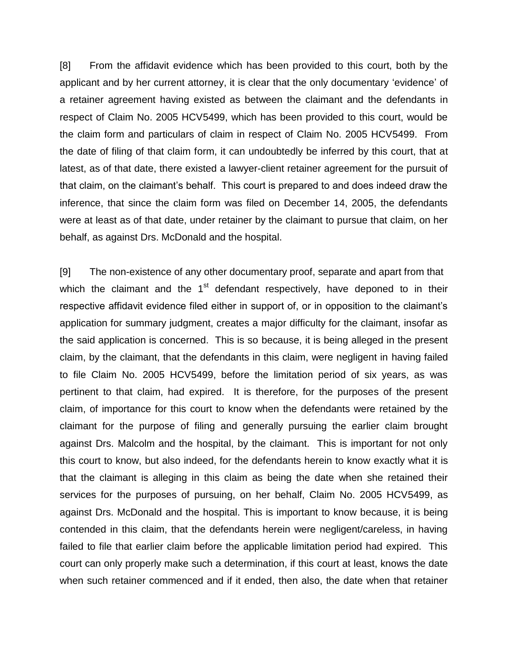[8] From the affidavit evidence which has been provided to this court, both by the applicant and by her current attorney, it is clear that the only documentary 'evidence' of a retainer agreement having existed as between the claimant and the defendants in respect of Claim No. 2005 HCV5499, which has been provided to this court, would be the claim form and particulars of claim in respect of Claim No. 2005 HCV5499. From the date of filing of that claim form, it can undoubtedly be inferred by this court, that at latest, as of that date, there existed a lawyer-client retainer agreement for the pursuit of that claim, on the claimant's behalf. This court is prepared to and does indeed draw the inference, that since the claim form was filed on December 14, 2005, the defendants were at least as of that date, under retainer by the claimant to pursue that claim, on her behalf, as against Drs. McDonald and the hospital.

[9] The non-existence of any other documentary proof, separate and apart from that which the claimant and the  $1<sup>st</sup>$  defendant respectively, have deponed to in their respective affidavit evidence filed either in support of, or in opposition to the claimant's application for summary judgment, creates a major difficulty for the claimant, insofar as the said application is concerned. This is so because, it is being alleged in the present claim, by the claimant, that the defendants in this claim, were negligent in having failed to file Claim No. 2005 HCV5499, before the limitation period of six years, as was pertinent to that claim, had expired. It is therefore, for the purposes of the present claim, of importance for this court to know when the defendants were retained by the claimant for the purpose of filing and generally pursuing the earlier claim brought against Drs. Malcolm and the hospital, by the claimant. This is important for not only this court to know, but also indeed, for the defendants herein to know exactly what it is that the claimant is alleging in this claim as being the date when she retained their services for the purposes of pursuing, on her behalf, Claim No. 2005 HCV5499, as against Drs. McDonald and the hospital. This is important to know because, it is being contended in this claim, that the defendants herein were negligent/careless, in having failed to file that earlier claim before the applicable limitation period had expired. This court can only properly make such a determination, if this court at least, knows the date when such retainer commenced and if it ended, then also, the date when that retainer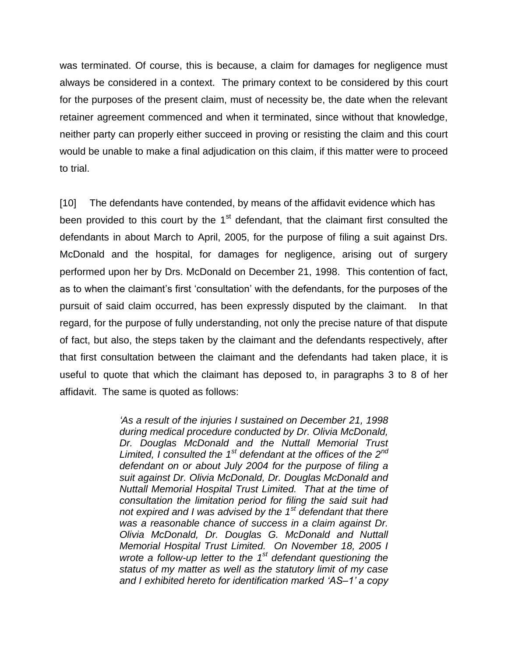was terminated. Of course, this is because, a claim for damages for negligence must always be considered in a context. The primary context to be considered by this court for the purposes of the present claim, must of necessity be, the date when the relevant retainer agreement commenced and when it terminated, since without that knowledge, neither party can properly either succeed in proving or resisting the claim and this court would be unable to make a final adjudication on this claim, if this matter were to proceed to trial.

[10] The defendants have contended, by means of the affidavit evidence which has been provided to this court by the 1<sup>st</sup> defendant, that the claimant first consulted the defendants in about March to April, 2005, for the purpose of filing a suit against Drs. McDonald and the hospital, for damages for negligence, arising out of surgery performed upon her by Drs. McDonald on December 21, 1998. This contention of fact, as to when the claimant's first 'consultation' with the defendants, for the purposes of the pursuit of said claim occurred, has been expressly disputed by the claimant. In that regard, for the purpose of fully understanding, not only the precise nature of that dispute of fact, but also, the steps taken by the claimant and the defendants respectively, after that first consultation between the claimant and the defendants had taken place, it is useful to quote that which the claimant has deposed to, in paragraphs 3 to 8 of her affidavit. The same is quoted as follows:

> *'As a result of the injuries I sustained on December 21, 1998 during medical procedure conducted by Dr. Olivia McDonald, Dr. Douglas McDonald and the Nuttall Memorial Trust Limited, I consulted the 1st defendant at the offices of the 2nd defendant on or about July 2004 for the purpose of filing a suit against Dr. Olivia McDonald, Dr. Douglas McDonald and Nuttall Memorial Hospital Trust Limited. That at the time of consultation the limitation period for filing the said suit had not expired and I was advised by the 1st defendant that there was a reasonable chance of success in a claim against Dr. Olivia McDonald, Dr. Douglas G. McDonald and Nuttall Memorial Hospital Trust Limited. On November 18, 2005 I wrote a follow-up letter to the 1st defendant questioning the status of my matter as well as the statutory limit of my case and I exhibited hereto for identification marked 'AS–1' a copy*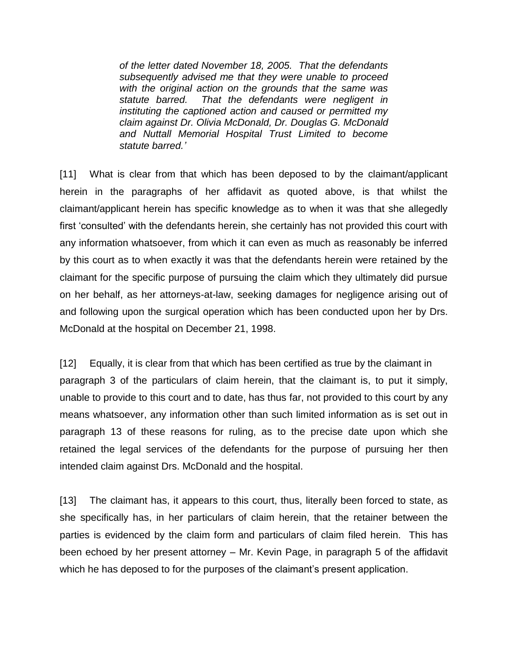*of the letter dated November 18, 2005. That the defendants subsequently advised me that they were unable to proceed with the original action on the grounds that the same was statute barred. That the defendants were negligent in instituting the captioned action and caused or permitted my claim against Dr. Olivia McDonald, Dr. Douglas G. McDonald and Nuttall Memorial Hospital Trust Limited to become statute barred.'*

[11] What is clear from that which has been deposed to by the claimant/applicant herein in the paragraphs of her affidavit as quoted above, is that whilst the claimant/applicant herein has specific knowledge as to when it was that she allegedly first 'consulted' with the defendants herein, she certainly has not provided this court with any information whatsoever, from which it can even as much as reasonably be inferred by this court as to when exactly it was that the defendants herein were retained by the claimant for the specific purpose of pursuing the claim which they ultimately did pursue on her behalf, as her attorneys-at-law, seeking damages for negligence arising out of and following upon the surgical operation which has been conducted upon her by Drs. McDonald at the hospital on December 21, 1998.

[12] Equally, it is clear from that which has been certified as true by the claimant in paragraph 3 of the particulars of claim herein, that the claimant is, to put it simply, unable to provide to this court and to date, has thus far, not provided to this court by any means whatsoever, any information other than such limited information as is set out in paragraph 13 of these reasons for ruling, as to the precise date upon which she retained the legal services of the defendants for the purpose of pursuing her then intended claim against Drs. McDonald and the hospital.

[13] The claimant has, it appears to this court, thus, literally been forced to state, as she specifically has, in her particulars of claim herein, that the retainer between the parties is evidenced by the claim form and particulars of claim filed herein. This has been echoed by her present attorney – Mr. Kevin Page, in paragraph 5 of the affidavit which he has deposed to for the purposes of the claimant's present application.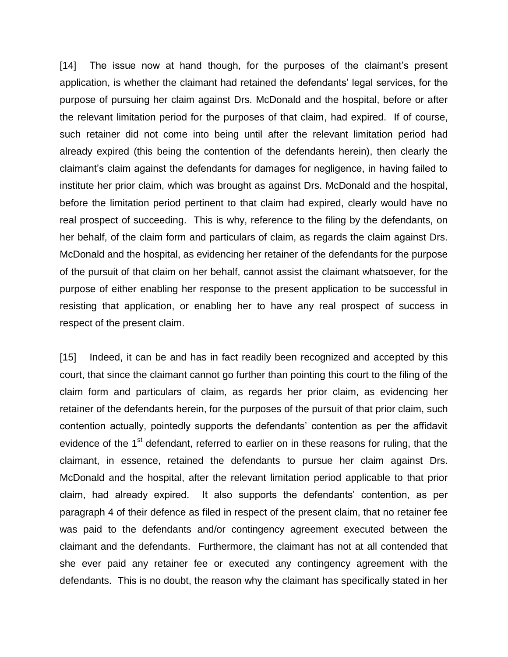[14] The issue now at hand though, for the purposes of the claimant's present application, is whether the claimant had retained the defendants' legal services, for the purpose of pursuing her claim against Drs. McDonald and the hospital, before or after the relevant limitation period for the purposes of that claim, had expired. If of course, such retainer did not come into being until after the relevant limitation period had already expired (this being the contention of the defendants herein), then clearly the claimant's claim against the defendants for damages for negligence, in having failed to institute her prior claim, which was brought as against Drs. McDonald and the hospital, before the limitation period pertinent to that claim had expired, clearly would have no real prospect of succeeding. This is why, reference to the filing by the defendants, on her behalf, of the claim form and particulars of claim, as regards the claim against Drs. McDonald and the hospital, as evidencing her retainer of the defendants for the purpose of the pursuit of that claim on her behalf, cannot assist the claimant whatsoever, for the purpose of either enabling her response to the present application to be successful in resisting that application, or enabling her to have any real prospect of success in respect of the present claim.

[15] Indeed, it can be and has in fact readily been recognized and accepted by this court, that since the claimant cannot go further than pointing this court to the filing of the claim form and particulars of claim, as regards her prior claim, as evidencing her retainer of the defendants herein, for the purposes of the pursuit of that prior claim, such contention actually, pointedly supports the defendants' contention as per the affidavit evidence of the 1<sup>st</sup> defendant, referred to earlier on in these reasons for ruling, that the claimant, in essence, retained the defendants to pursue her claim against Drs. McDonald and the hospital, after the relevant limitation period applicable to that prior claim, had already expired. It also supports the defendants' contention, as per paragraph 4 of their defence as filed in respect of the present claim, that no retainer fee was paid to the defendants and/or contingency agreement executed between the claimant and the defendants. Furthermore, the claimant has not at all contended that she ever paid any retainer fee or executed any contingency agreement with the defendants. This is no doubt, the reason why the claimant has specifically stated in her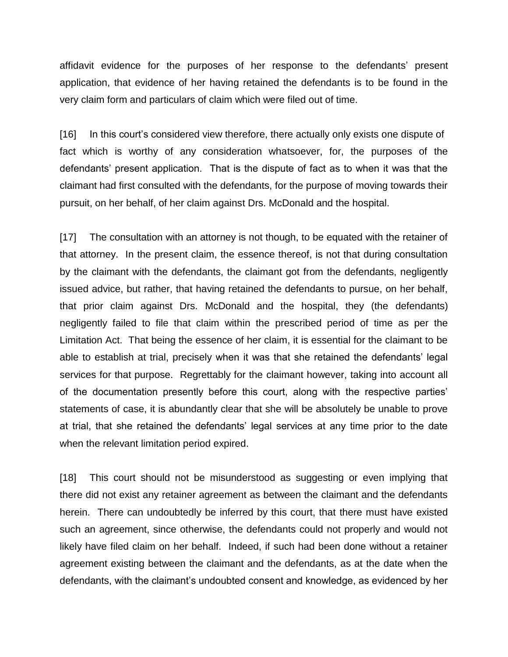affidavit evidence for the purposes of her response to the defendants' present application, that evidence of her having retained the defendants is to be found in the very claim form and particulars of claim which were filed out of time.

[16] In this court's considered view therefore, there actually only exists one dispute of fact which is worthy of any consideration whatsoever, for, the purposes of the defendants' present application. That is the dispute of fact as to when it was that the claimant had first consulted with the defendants, for the purpose of moving towards their pursuit, on her behalf, of her claim against Drs. McDonald and the hospital.

[17] The consultation with an attorney is not though, to be equated with the retainer of that attorney. In the present claim, the essence thereof, is not that during consultation by the claimant with the defendants, the claimant got from the defendants, negligently issued advice, but rather, that having retained the defendants to pursue, on her behalf, that prior claim against Drs. McDonald and the hospital, they (the defendants) negligently failed to file that claim within the prescribed period of time as per the Limitation Act. That being the essence of her claim, it is essential for the claimant to be able to establish at trial, precisely when it was that she retained the defendants' legal services for that purpose. Regrettably for the claimant however, taking into account all of the documentation presently before this court, along with the respective parties' statements of case, it is abundantly clear that she will be absolutely be unable to prove at trial, that she retained the defendants' legal services at any time prior to the date when the relevant limitation period expired.

[18] This court should not be misunderstood as suggesting or even implying that there did not exist any retainer agreement as between the claimant and the defendants herein. There can undoubtedly be inferred by this court, that there must have existed such an agreement, since otherwise, the defendants could not properly and would not likely have filed claim on her behalf. Indeed, if such had been done without a retainer agreement existing between the claimant and the defendants, as at the date when the defendants, with the claimant's undoubted consent and knowledge, as evidenced by her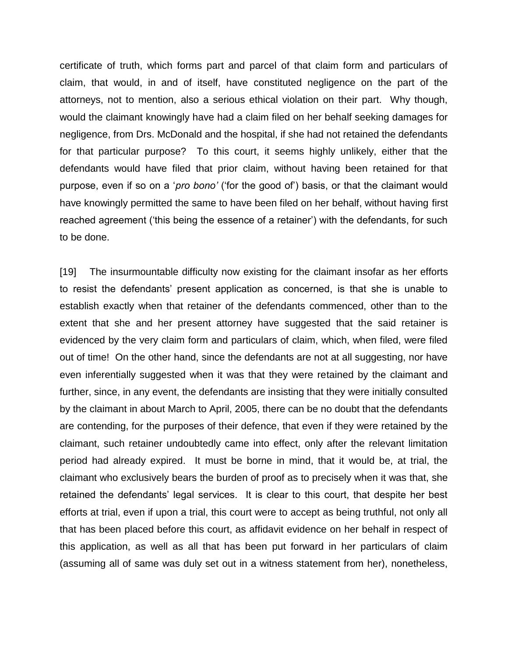certificate of truth, which forms part and parcel of that claim form and particulars of claim, that would, in and of itself, have constituted negligence on the part of the attorneys, not to mention, also a serious ethical violation on their part. Why though, would the claimant knowingly have had a claim filed on her behalf seeking damages for negligence, from Drs. McDonald and the hospital, if she had not retained the defendants for that particular purpose? To this court, it seems highly unlikely, either that the defendants would have filed that prior claim, without having been retained for that purpose, even if so on a '*pro bono'* ('for the good of') basis, or that the claimant would have knowingly permitted the same to have been filed on her behalf, without having first reached agreement ('this being the essence of a retainer') with the defendants, for such to be done.

[19] The insurmountable difficulty now existing for the claimant insofar as her efforts to resist the defendants' present application as concerned, is that she is unable to establish exactly when that retainer of the defendants commenced, other than to the extent that she and her present attorney have suggested that the said retainer is evidenced by the very claim form and particulars of claim, which, when filed, were filed out of time! On the other hand, since the defendants are not at all suggesting, nor have even inferentially suggested when it was that they were retained by the claimant and further, since, in any event, the defendants are insisting that they were initially consulted by the claimant in about March to April, 2005, there can be no doubt that the defendants are contending, for the purposes of their defence, that even if they were retained by the claimant, such retainer undoubtedly came into effect, only after the relevant limitation period had already expired. It must be borne in mind, that it would be, at trial, the claimant who exclusively bears the burden of proof as to precisely when it was that, she retained the defendants' legal services. It is clear to this court, that despite her best efforts at trial, even if upon a trial, this court were to accept as being truthful, not only all that has been placed before this court, as affidavit evidence on her behalf in respect of this application, as well as all that has been put forward in her particulars of claim (assuming all of same was duly set out in a witness statement from her), nonetheless,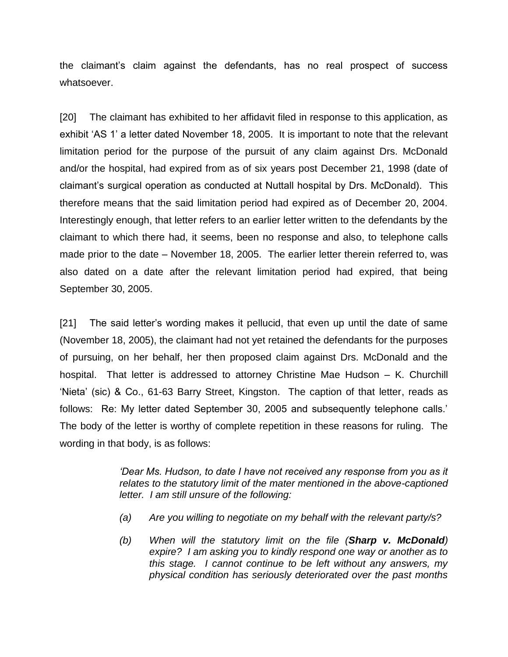the claimant's claim against the defendants, has no real prospect of success whatsoever.

[20] The claimant has exhibited to her affidavit filed in response to this application, as exhibit 'AS 1' a letter dated November 18, 2005. It is important to note that the relevant limitation period for the purpose of the pursuit of any claim against Drs. McDonald and/or the hospital, had expired from as of six years post December 21, 1998 (date of claimant's surgical operation as conducted at Nuttall hospital by Drs. McDonald). This therefore means that the said limitation period had expired as of December 20, 2004. Interestingly enough, that letter refers to an earlier letter written to the defendants by the claimant to which there had, it seems, been no response and also, to telephone calls made prior to the date – November 18, 2005. The earlier letter therein referred to, was also dated on a date after the relevant limitation period had expired, that being September 30, 2005.

[21] The said letter's wording makes it pellucid, that even up until the date of same (November 18, 2005), the claimant had not yet retained the defendants for the purposes of pursuing, on her behalf, her then proposed claim against Drs. McDonald and the hospital. That letter is addressed to attorney Christine Mae Hudson – K. Churchill 'Nieta' (sic) & Co., 61-63 Barry Street, Kingston. The caption of that letter, reads as follows: Re: My letter dated September 30, 2005 and subsequently telephone calls.' The body of the letter is worthy of complete repetition in these reasons for ruling. The wording in that body, is as follows:

> *'Dear Ms. Hudson, to date I have not received any response from you as it relates to the statutory limit of the mater mentioned in the above-captioned letter. I am still unsure of the following:*

- *(a) Are you willing to negotiate on my behalf with the relevant party/s?*
- *(b) When will the statutory limit on the file (Sharp v. McDonald) expire? I am asking you to kindly respond one way or another as to this stage. I cannot continue to be left without any answers, my physical condition has seriously deteriorated over the past months*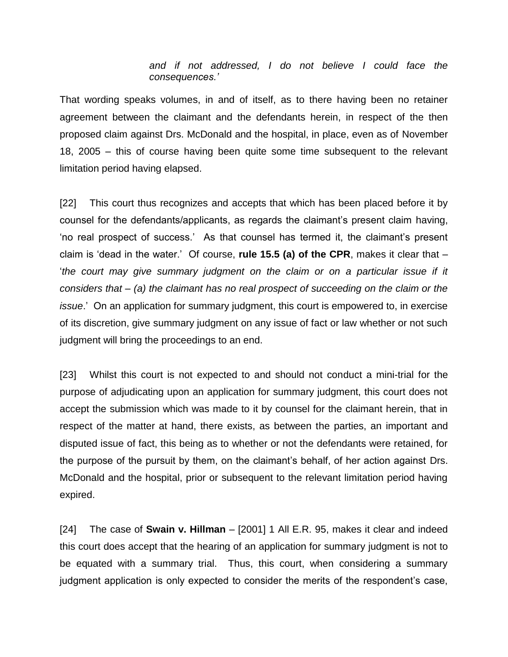## *and if not addressed, I do not believe I could face the consequences.'*

That wording speaks volumes, in and of itself, as to there having been no retainer agreement between the claimant and the defendants herein, in respect of the then proposed claim against Drs. McDonald and the hospital, in place, even as of November 18, 2005 – this of course having been quite some time subsequent to the relevant limitation period having elapsed.

[22] This court thus recognizes and accepts that which has been placed before it by counsel for the defendants/applicants, as regards the claimant's present claim having, 'no real prospect of success.' As that counsel has termed it, the claimant's present claim is 'dead in the water.' Of course, **rule 15.5 (a) of the CPR**, makes it clear that – *the court may give summary judgment on the claim or on a particular issue if it considers that – (a) the claimant has no real prospect of succeeding on the claim or the issue*.' On an application for summary judgment, this court is empowered to, in exercise of its discretion, give summary judgment on any issue of fact or law whether or not such judgment will bring the proceedings to an end.

[23] Whilst this court is not expected to and should not conduct a mini-trial for the purpose of adjudicating upon an application for summary judgment, this court does not accept the submission which was made to it by counsel for the claimant herein, that in respect of the matter at hand, there exists, as between the parties, an important and disputed issue of fact, this being as to whether or not the defendants were retained, for the purpose of the pursuit by them, on the claimant's behalf, of her action against Drs. McDonald and the hospital, prior or subsequent to the relevant limitation period having expired.

[24] The case of **Swain v. Hillman** – [2001] 1 All E.R. 95, makes it clear and indeed this court does accept that the hearing of an application for summary judgment is not to be equated with a summary trial. Thus, this court, when considering a summary judgment application is only expected to consider the merits of the respondent's case,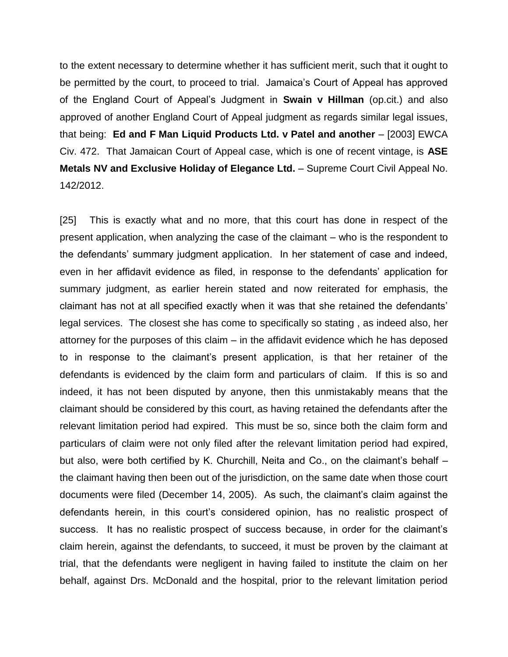to the extent necessary to determine whether it has sufficient merit, such that it ought to be permitted by the court, to proceed to trial. Jamaica's Court of Appeal has approved of the England Court of Appeal's Judgment in **Swain v Hillman** (op.cit.) and also approved of another England Court of Appeal judgment as regards similar legal issues, that being: **Ed and F Man Liquid Products Ltd. v Patel and another** – [2003] EWCA Civ. 472. That Jamaican Court of Appeal case, which is one of recent vintage, is **ASE Metals NV and Exclusive Holiday of Elegance Ltd.** – Supreme Court Civil Appeal No. 142/2012.

[25] This is exactly what and no more, that this court has done in respect of the present application, when analyzing the case of the claimant – who is the respondent to the defendants' summary judgment application. In her statement of case and indeed, even in her affidavit evidence as filed, in response to the defendants' application for summary judgment, as earlier herein stated and now reiterated for emphasis, the claimant has not at all specified exactly when it was that she retained the defendants' legal services. The closest she has come to specifically so stating , as indeed also, her attorney for the purposes of this claim – in the affidavit evidence which he has deposed to in response to the claimant's present application, is that her retainer of the defendants is evidenced by the claim form and particulars of claim. If this is so and indeed, it has not been disputed by anyone, then this unmistakably means that the claimant should be considered by this court, as having retained the defendants after the relevant limitation period had expired. This must be so, since both the claim form and particulars of claim were not only filed after the relevant limitation period had expired, but also, were both certified by K. Churchill, Neita and Co., on the claimant's behalf – the claimant having then been out of the jurisdiction, on the same date when those court documents were filed (December 14, 2005). As such, the claimant's claim against the defendants herein, in this court's considered opinion, has no realistic prospect of success. It has no realistic prospect of success because, in order for the claimant's claim herein, against the defendants, to succeed, it must be proven by the claimant at trial, that the defendants were negligent in having failed to institute the claim on her behalf, against Drs. McDonald and the hospital, prior to the relevant limitation period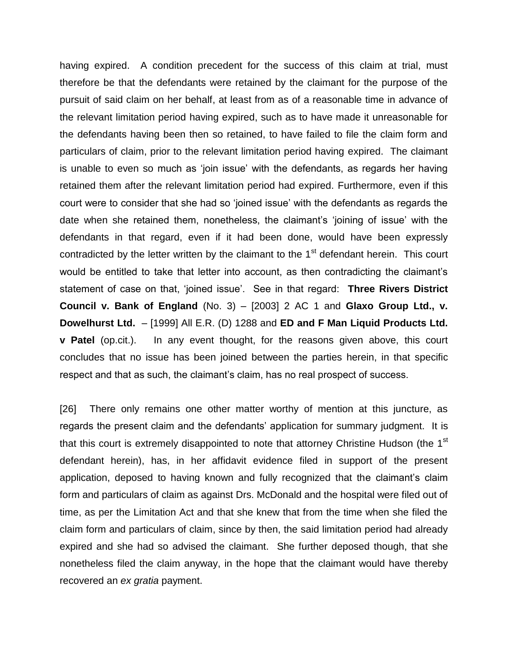having expired. A condition precedent for the success of this claim at trial, must therefore be that the defendants were retained by the claimant for the purpose of the pursuit of said claim on her behalf, at least from as of a reasonable time in advance of the relevant limitation period having expired, such as to have made it unreasonable for the defendants having been then so retained, to have failed to file the claim form and particulars of claim, prior to the relevant limitation period having expired. The claimant is unable to even so much as 'join issue' with the defendants, as regards her having retained them after the relevant limitation period had expired. Furthermore, even if this court were to consider that she had so 'joined issue' with the defendants as regards the date when she retained them, nonetheless, the claimant's 'joining of issue' with the defendants in that regard, even if it had been done, would have been expressly contradicted by the letter written by the claimant to the  $1<sup>st</sup>$  defendant herein. This court would be entitled to take that letter into account, as then contradicting the claimant's statement of case on that, 'joined issue'. See in that regard: **Three Rivers District Council v. Bank of England** (No. 3) – [2003] 2 AC 1 and **Glaxo Group Ltd., v. Dowelhurst Ltd.** – [1999] All E.R. (D) 1288 and **ED and F Man Liquid Products Ltd. v Patel** (op.cit.). In any event thought, for the reasons given above, this court concludes that no issue has been joined between the parties herein, in that specific respect and that as such, the claimant's claim, has no real prospect of success.

[26] There only remains one other matter worthy of mention at this juncture, as regards the present claim and the defendants' application for summary judgment. It is that this court is extremely disappointed to note that attorney Christine Hudson (the 1<sup>st</sup> defendant herein), has, in her affidavit evidence filed in support of the present application, deposed to having known and fully recognized that the claimant's claim form and particulars of claim as against Drs. McDonald and the hospital were filed out of time, as per the Limitation Act and that she knew that from the time when she filed the claim form and particulars of claim, since by then, the said limitation period had already expired and she had so advised the claimant. She further deposed though, that she nonetheless filed the claim anyway, in the hope that the claimant would have thereby recovered an *ex gratia* payment.